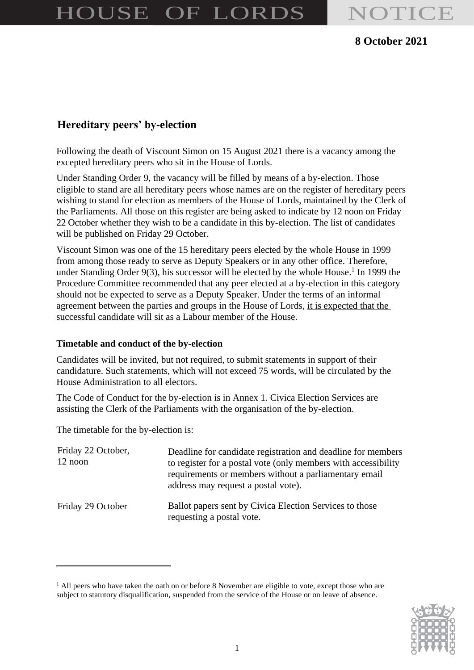# HOUSE OF LORDS NOTICE

### **8 October 2021**

## **Hereditary peers' by-election**

Following the death of Viscount Simon on 15 August 2021 there is a vacancy among the excepted hereditary peers who sit in the House of Lords.

Under Standing Order 9, the vacancy will be filled by means of a by-election. Those eligible to stand are all hereditary peers whose names are on the register of hereditary peers wishing to stand for election as members of the House of Lords, maintained by the Clerk of the Parliaments. All those on this register are being asked to indicate by 12 noon on Friday 22 October whether they wish to be a candidate in this by-election. The list of candidates will be published on Friday 29 October.

Viscount Simon was one of the 15 hereditary peers elected by the whole House in 1999 from among those ready to serve as Deputy Speakers or in any other office. Therefore, under Standing Order 9(3), his successor will be elected by the whole House.<sup>1</sup> In 1999 the Procedure Committee recommended that any peer elected at a by-election in this category should not be expected to serve as a Deputy Speaker. Under the terms of an informal agreement between the parties and groups in the House of Lords, it is expected that the successful candidate will sit as a Labour member of the House.

#### **Timetable and conduct of the by-election**

Candidates will be invited, but not required, to submit statements in support of their candidature. Such statements, which will not exceed 75 words, will be circulated by the House Administration to all electors.

The Code of Conduct for the by-election is in Annex 1. Civica Election Services are assisting the Clerk of the Parliaments with the organisation of the by-election.

The timetable for the by-election is:

| Friday 22 October,<br>12 noon | Deadline for candidate registration and deadline for members<br>to register for a postal vote (only members with accessibility<br>requirements or members without a parliamentary email<br>address may request a postal vote). |
|-------------------------------|--------------------------------------------------------------------------------------------------------------------------------------------------------------------------------------------------------------------------------|
| Friday 29 October             | Ballot papers sent by Civica Election Services to those<br>requesting a postal vote.                                                                                                                                           |

<sup>&</sup>lt;sup>1</sup> All peers who have taken the oath on or before 8 November are eligible to vote, except those who are subject to statutory disqualification, suspended from the service of the House or on leave of absence.

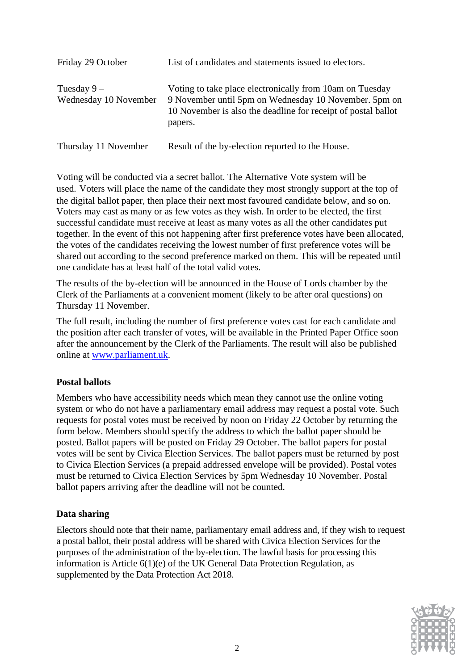| Friday 29 October                     | List of candidates and statements issued to electors.                                                                                                                                         |
|---------------------------------------|-----------------------------------------------------------------------------------------------------------------------------------------------------------------------------------------------|
| Tuesday $9-$<br>Wednesday 10 November | Voting to take place electronically from 10am on Tuesday<br>9 November until 5pm on Wednesday 10 November. 5pm on<br>10 November is also the deadline for receipt of postal ballot<br>papers. |
| Thursday 11 November                  | Result of the by-election reported to the House.                                                                                                                                              |

Voting will be conducted via a secret ballot. The Alternative Vote system will be used. Voters will place the name of the candidate they most strongly support at the top of the digital ballot paper, then place their next most favoured candidate below, and so on. Voters may cast as many or as few votes as they wish. In order to be elected, the first successful candidate must receive at least as many votes as all the other candidates put together. In the event of this not happening after first preference votes have been allocated, the votes of the candidates receiving the lowest number of first preference votes will be shared out according to the second preference marked on them. This will be repeated until one candidate has at least half of the total valid votes.

The results of the by-election will be announced in the House of Lords chamber by the Clerk of the Parliaments at a convenient moment (likely to be after oral questions) on Thursday 11 November.

The full result, including the number of first preference votes cast for each candidate and the position after each transfer of votes, will be available in the Printed Paper Office soon after the announcement by the Clerk of the Parliaments. The result will also be published online at [www.parliament.uk.](http://www.parliament.uk/)

#### **Postal ballots**

Members who have accessibility needs which mean they cannot use the online voting system or who do not have a parliamentary email address may request a postal vote. Such requests for postal votes must be received by noon on Friday 22 October by returning the form below. Members should specify the address to which the ballot paper should be posted. Ballot papers will be posted on Friday 29 October. The ballot papers for postal votes will be sent by Civica Election Services. The ballot papers must be returned by post to Civica Election Services (a prepaid addressed envelope will be provided). Postal votes must be returned to Civica Election Services by 5pm Wednesday 10 November. Postal ballot papers arriving after the deadline will not be counted.

#### **Data sharing**

Electors should note that their name, parliamentary email address and, if they wish to request a postal ballot, their postal address will be shared with Civica Election Services for the purposes of the administration of the by-election. The lawful basis for processing this information is Article 6(1)(e) of the UK General Data Protection Regulation, as supplemented by the Data Protection Act 2018.

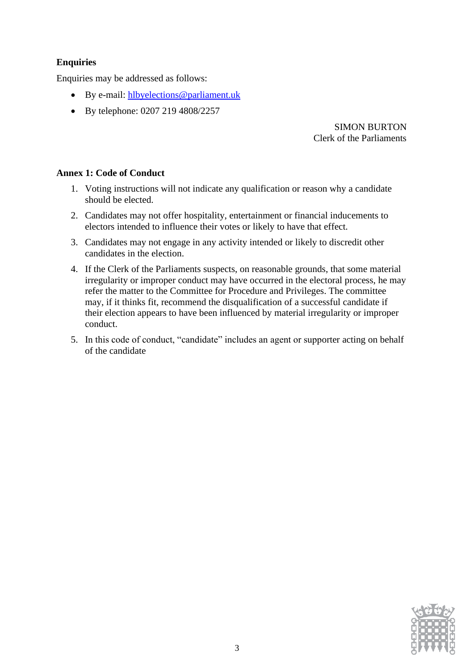#### **Enquiries**

Enquiries may be addressed as follows:

- By e-mail: [hlbyelections@parliament.uk](mailto:hlbyelections@parliament.uk)
- By telephone: 0207 219 4808/2257

SIMON BURTON Clerk of the Parliaments

#### **Annex 1: Code of Conduct**

- 1. Voting instructions will not indicate any qualification or reason why a candidate should be elected.
- 2. Candidates may not offer hospitality, entertainment or financial inducements to electors intended to influence their votes or likely to have that effect.
- 3. Candidates may not engage in any activity intended or likely to discredit other candidates in the election.
- 4. If the Clerk of the Parliaments suspects, on reasonable grounds, that some material irregularity or improper conduct may have occurred in the electoral process, he may refer the matter to the Committee for Procedure and Privileges. The committee may, if it thinks fit, recommend the disqualification of a successful candidate if their election appears to have been influenced by material irregularity or improper conduct.
- 5. In this code of conduct, "candidate" includes an agent or supporter acting on behalf of the candidate